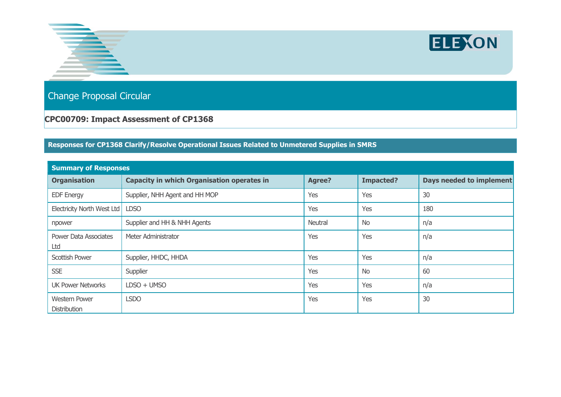



Change Proposal Circular

## **CPC00709: Impact Assessment of CP1368**

## **Responses for CP1368 Clarify/Resolve Operational Issues Related to Unmetered Supplies in SMRS**

| <b>Summary of Responses</b>          |                                                   |         |                  |                                 |  |  |  |
|--------------------------------------|---------------------------------------------------|---------|------------------|---------------------------------|--|--|--|
| <b>Organisation</b>                  | <b>Capacity in which Organisation operates in</b> | Agree?  | <b>Impacted?</b> | <b>Days needed to implement</b> |  |  |  |
| <b>EDF Energy</b>                    | Supplier, NHH Agent and HH MOP                    | Yes     | Yes              | 30                              |  |  |  |
| Electricity North West Ltd           | <b>LDSO</b>                                       | Yes     | Yes              | 180                             |  |  |  |
| npower                               | Supplier and HH & NHH Agents                      | Neutral | <b>No</b>        | n/a                             |  |  |  |
| Power Data Associates<br>Ltd         | Meter Administrator                               | Yes     | Yes              | n/a                             |  |  |  |
| Scottish Power                       | Supplier, HHDC, HHDA                              | Yes     | Yes              | n/a                             |  |  |  |
| <b>SSE</b>                           | Supplier                                          | Yes     | <b>No</b>        | 60                              |  |  |  |
| <b>UK Power Networks</b>             | $LDSO + UMSO$                                     | Yes     | Yes              | n/a                             |  |  |  |
| <b>Western Power</b><br>Distribution | <b>LSDO</b>                                       | Yes     | Yes              | 30                              |  |  |  |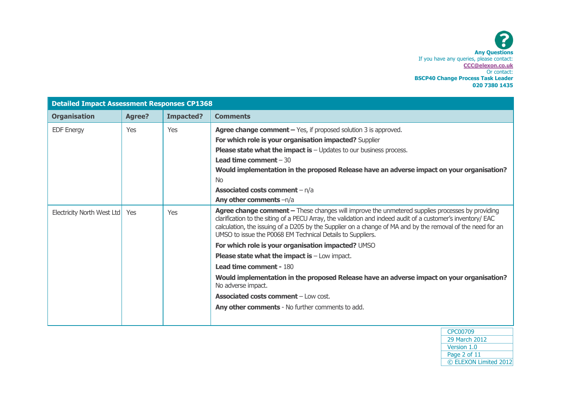| <b>Detailed Impact Assessment Responses CP1368</b> |            |           |                                                                                                                                                                                                                                                                                                                                                                                            |
|----------------------------------------------------|------------|-----------|--------------------------------------------------------------------------------------------------------------------------------------------------------------------------------------------------------------------------------------------------------------------------------------------------------------------------------------------------------------------------------------------|
| <b>Organisation</b>                                | Agree?     | Impacted? | <b>Comments</b>                                                                                                                                                                                                                                                                                                                                                                            |
| <b>EDF Energy</b>                                  | Yes        | Yes       | Agree change comment $-$ Yes, if proposed solution 3 is approved.                                                                                                                                                                                                                                                                                                                          |
|                                                    |            |           | For which role is your organisation impacted? Supplier                                                                                                                                                                                                                                                                                                                                     |
|                                                    |            |           | <b>Please state what the impact is</b> $-$ Updates to our business process.                                                                                                                                                                                                                                                                                                                |
|                                                    |            |           | <b>Lead time comment</b> $-30$                                                                                                                                                                                                                                                                                                                                                             |
|                                                    |            |           | Would implementation in the proposed Release have an adverse impact on your organisation?                                                                                                                                                                                                                                                                                                  |
|                                                    |            |           | <b>No</b>                                                                                                                                                                                                                                                                                                                                                                                  |
|                                                    |            |           | <b>Associated costs comment</b> - n/a                                                                                                                                                                                                                                                                                                                                                      |
|                                                    |            |           | Any other comments -n/a                                                                                                                                                                                                                                                                                                                                                                    |
| Electricity North West Ltd                         | <b>Yes</b> | Yes       | Agree change comment - These changes will improve the unmetered supplies processes by providing<br>clarification to the siting of a PECU Array, the validation and indeed audit of a customer's inventory/ EAC<br>calculation, the issuing of a D205 by the Supplier on a change of MA and by the removal of the need for an<br>UMSO to issue the P0068 EM Technical Details to Suppliers. |
|                                                    |            |           | For which role is your organisation impacted? UMSO                                                                                                                                                                                                                                                                                                                                         |
|                                                    |            |           | <b>Please state what the impact is <math>-</math> Low impact.</b>                                                                                                                                                                                                                                                                                                                          |
|                                                    |            |           | <b>Lead time comment - 180</b>                                                                                                                                                                                                                                                                                                                                                             |
|                                                    |            |           | Would implementation in the proposed Release have an adverse impact on your organisation?<br>No adverse impact.                                                                                                                                                                                                                                                                            |
|                                                    |            |           | <b>Associated costs comment - Low cost.</b>                                                                                                                                                                                                                                                                                                                                                |
|                                                    |            |           | <b>Any other comments</b> - No further comments to add.                                                                                                                                                                                                                                                                                                                                    |
|                                                    |            |           |                                                                                                                                                                                                                                                                                                                                                                                            |

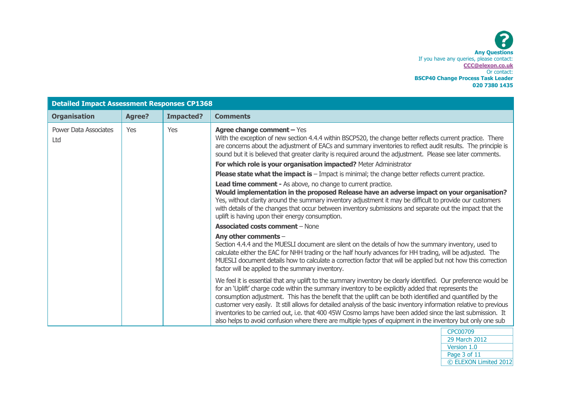| <b>Detailed Impact Assessment Responses CP1368</b> |               |           |                                                                                                                                                                                                                                                                                                                                                                                                                                                                                                                                                                                                                                                                                         |
|----------------------------------------------------|---------------|-----------|-----------------------------------------------------------------------------------------------------------------------------------------------------------------------------------------------------------------------------------------------------------------------------------------------------------------------------------------------------------------------------------------------------------------------------------------------------------------------------------------------------------------------------------------------------------------------------------------------------------------------------------------------------------------------------------------|
| <b>Organisation</b>                                | <b>Agree?</b> | Impacted? | <b>Comments</b>                                                                                                                                                                                                                                                                                                                                                                                                                                                                                                                                                                                                                                                                         |
| <b>Power Data Associates</b><br>Ltd                | <b>Yes</b>    | Yes       | <b>Agree change comment - Yes</b><br>With the exception of new section 4.4.4 within BSCP520, the change better reflects current practice. There<br>are concerns about the adjustment of EACs and summary inventories to reflect audit results. The principle is<br>sound but it is believed that greater clarity is required around the adjustment. Please see later comments.                                                                                                                                                                                                                                                                                                          |
|                                                    |               |           | For which role is your organisation impacted? Meter Administrator                                                                                                                                                                                                                                                                                                                                                                                                                                                                                                                                                                                                                       |
|                                                    |               |           | <b>Please state what the impact is</b> $-$ Impact is minimal; the change better reflects current practice.                                                                                                                                                                                                                                                                                                                                                                                                                                                                                                                                                                              |
|                                                    |               |           | Lead time comment - As above, no change to current practice.<br>Would implementation in the proposed Release have an adverse impact on your organisation?<br>Yes, without clarity around the summary inventory adjustment it may be difficult to provide our customers<br>with details of the changes that occur between inventory submissions and separate out the impact that the<br>uplift is having upon their energy consumption.                                                                                                                                                                                                                                                  |
|                                                    |               |           | <b>Associated costs comment - None</b>                                                                                                                                                                                                                                                                                                                                                                                                                                                                                                                                                                                                                                                  |
|                                                    |               |           | Any other comments -<br>Section 4.4.4 and the MUESLI document are silent on the details of how the summary inventory, used to<br>calculate either the EAC for NHH trading or the half hourly advances for HH trading, will be adjusted. The<br>MUESLI document details how to calculate a correction factor that will be applied but not how this correction<br>factor will be applied to the summary inventory.                                                                                                                                                                                                                                                                        |
|                                                    |               |           | We feel it is essential that any uplift to the summary inventory be clearly identified. Our preference would be<br>for an 'Uplift' charge code within the summary inventory to be explicitly added that represents the<br>consumption adjustment. This has the benefit that the uplift can be both identified and quantified by the<br>customer very easily. It still allows for detailed analysis of the basic inventory information relative to previous<br>inventories to be carried out, i.e. that 400 45W Cosmo lamps have been added since the last submission. It<br>also helps to avoid confusion where there are multiple types of equipment in the inventory but only one sub |

| CPC00709              |  |
|-----------------------|--|
| 29 March 2012         |  |
| Version 1.0           |  |
| Page 3 of 11          |  |
| © ELEXON Limited 2012 |  |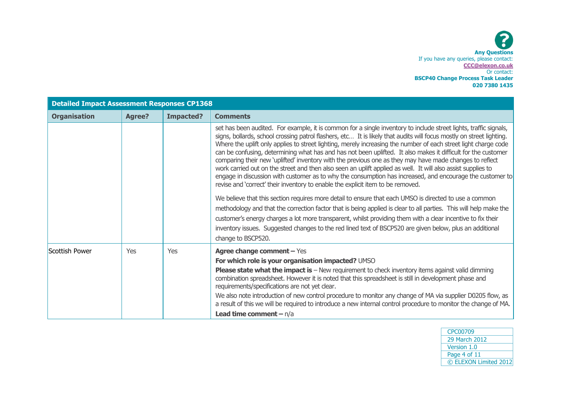| <b>Detailed Impact Assessment Responses CP1368</b> |               |                  |                                                                                                                                                                                                                                                                                                                                                                                                                                                                                                                                                                                                                                                                                                                                                                                                                                                                                                                                                                                                                                                                                                                                                                                                                                                                                                                                                                                          |
|----------------------------------------------------|---------------|------------------|------------------------------------------------------------------------------------------------------------------------------------------------------------------------------------------------------------------------------------------------------------------------------------------------------------------------------------------------------------------------------------------------------------------------------------------------------------------------------------------------------------------------------------------------------------------------------------------------------------------------------------------------------------------------------------------------------------------------------------------------------------------------------------------------------------------------------------------------------------------------------------------------------------------------------------------------------------------------------------------------------------------------------------------------------------------------------------------------------------------------------------------------------------------------------------------------------------------------------------------------------------------------------------------------------------------------------------------------------------------------------------------|
| <b>Organisation</b>                                | <b>Agree?</b> | <b>Impacted?</b> | <b>Comments</b>                                                                                                                                                                                                                                                                                                                                                                                                                                                                                                                                                                                                                                                                                                                                                                                                                                                                                                                                                                                                                                                                                                                                                                                                                                                                                                                                                                          |
|                                                    |               |                  | set has been audited. For example, it is common for a single inventory to include street lights, traffic signals,<br>signs, bollards, school crossing patrol flashers, etc It is likely that audits will focus mostly on street lighting.<br>Where the uplift only applies to street lighting, merely increasing the number of each street light charge code<br>can be confusing, determining what has and has not been uplifted. It also makes it difficult for the customer<br>comparing their new 'uplifted' inventory with the previous one as they may have made changes to reflect<br>work carried out on the street and then also seen an uplift applied as well. It will also assist supplies to<br>engage in discussion with customer as to why the consumption has increased, and encourage the customer to<br>revise and 'correct' their inventory to enable the explicit item to be removed.<br>We believe that this section requires more detail to ensure that each UMSO is directed to use a common<br>methodology and that the correction factor that is being applied is clear to all parties. This will help make the<br>customer's energy charges a lot more transparent, whilst providing them with a clear incentive to fix their<br>inventory issues. Suggested changes to the red lined text of BSCP520 are given below, plus an additional<br>change to BSCP520. |
| Scottish Power                                     | Yes           | Yes              | <b>Agree change comment - Yes</b>                                                                                                                                                                                                                                                                                                                                                                                                                                                                                                                                                                                                                                                                                                                                                                                                                                                                                                                                                                                                                                                                                                                                                                                                                                                                                                                                                        |
|                                                    |               |                  | For which role is your organisation impacted? UMSO<br><b>Please state what the impact is - New requirement to check inventory items against valid dimming</b><br>combination spreadsheet. However it is noted that this spreadsheet is still in development phase and<br>requirements/specifications are not yet clear.<br>We also note introduction of new control procedure to monitor any change of MA via supplier D0205 flow, as<br>a result of this we will be required to introduce a new internal control procedure to monitor the change of MA.<br><b>Lead time comment - n/a</b>                                                                                                                                                                                                                                                                                                                                                                                                                                                                                                                                                                                                                                                                                                                                                                                               |

| CPC00709              |
|-----------------------|
| 29 March 2012         |
| Version 1.0           |
| Page 4 of 11          |
| © ELEXON Limited 2012 |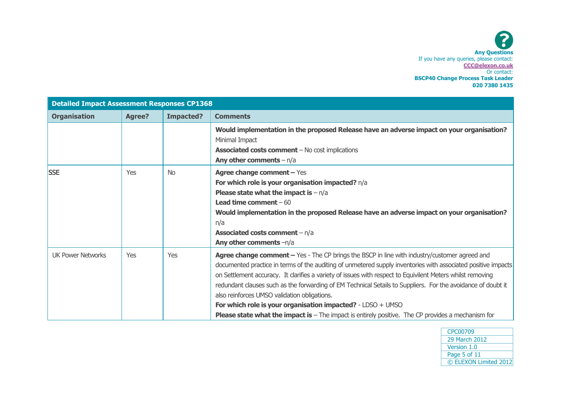| <b>Detailed Impact Assessment Responses CP1368</b> |               |                  |                                                                                                                                                                                                                                                                                                                                                                                                                                                                                                                                                                                                                                                                          |
|----------------------------------------------------|---------------|------------------|--------------------------------------------------------------------------------------------------------------------------------------------------------------------------------------------------------------------------------------------------------------------------------------------------------------------------------------------------------------------------------------------------------------------------------------------------------------------------------------------------------------------------------------------------------------------------------------------------------------------------------------------------------------------------|
| <b>Organisation</b>                                | <b>Agree?</b> | <b>Impacted?</b> | <b>Comments</b>                                                                                                                                                                                                                                                                                                                                                                                                                                                                                                                                                                                                                                                          |
|                                                    |               |                  | Would implementation in the proposed Release have an adverse impact on your organisation?<br>Minimal Impact<br><b>Associated costs comment</b> - No cost implications<br>Any other comments $- n/a$                                                                                                                                                                                                                                                                                                                                                                                                                                                                      |
| <b>SSE</b>                                         | Yes           | <b>No</b>        | <b>Agree change comment - Yes</b><br>For which role is your organisation impacted? n/a<br><b>Please state what the impact is - n/a</b><br><b>Lead time comment</b> $-60$<br>Would implementation in the proposed Release have an adverse impact on your organisation?<br>n/a<br><b>Associated costs comment</b> $-n/a$<br>Any other comments $-n/a$                                                                                                                                                                                                                                                                                                                      |
| <b>UK Power Networks</b>                           | Yes           | Yes              | Agree change comment - Yes - The CP brings the BSCP in line with industry/customer agreed and<br>documented practice in terms of the auditing of unmetered supply inventories with associated positive impacts<br>on Settlement accuracy. It clarifies a variety of issues with respect to Equivilent Meters whilst removing<br>redundant clauses such as the forwarding of EM Technical Setails to Suppliers. For the avoidance of doubt it<br>also reinforces UMSO validation obligations.<br>For which role is your organisation impacted? - LDSO + UMSO<br><b>Please state what the impact is -</b> The impact is entirely positive. The CP provides a mechanism for |

| CPC00709              |
|-----------------------|
| 29 March 2012         |
| Version 1.0           |
| Page 5 of 11          |
| © ELEXON Limited 2012 |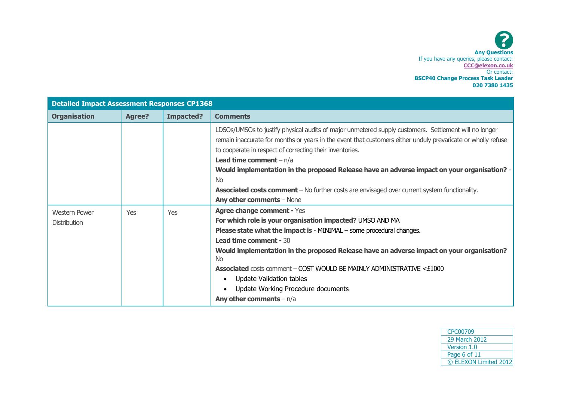

| <b>Detailed Impact Assessment Responses CP1368</b> |               |                  |                                                                                                                                                                                                                                                                                                                                                                                                                                                                                                                                                                      |
|----------------------------------------------------|---------------|------------------|----------------------------------------------------------------------------------------------------------------------------------------------------------------------------------------------------------------------------------------------------------------------------------------------------------------------------------------------------------------------------------------------------------------------------------------------------------------------------------------------------------------------------------------------------------------------|
| <b>Organisation</b>                                | <b>Agree?</b> | <b>Impacted?</b> | <b>Comments</b>                                                                                                                                                                                                                                                                                                                                                                                                                                                                                                                                                      |
|                                                    |               |                  | LDSOs/UMSOs to justify physical audits of major unmetered supply customers. Settlement will no longer<br>remain inaccurate for months or years in the event that customers either unduly prevaricate or wholly refuse<br>to cooperate in respect of correcting their inventories.<br><b>Lead time comment</b> $-n/a$<br>Would implementation in the proposed Release have an adverse impact on your organisation? -<br><b>No</b><br><b>Associated costs comment</b> – No further costs are envisaged over current system functionality.<br>Any other comments - None |
| <b>Western Power</b><br><b>Distribution</b>        | Yes           | Yes              | <b>Agree change comment - Yes</b><br>For which role is your organisation impacted? UMSO AND MA<br><b>Please state what the impact is - MINIMAL – some procedural changes.</b><br><b>Lead time comment - 30</b><br>Would implementation in the proposed Release have an adverse impact on your organisation?<br><b>No</b><br><b>Associated</b> costs comment – COST WOULD BE MAINLY ADMINISTRATIVE <£1000<br>Update Validation tables<br>Update Working Procedure documents<br>Any other comments $- n/a$                                                             |

| CPC00709              |
|-----------------------|
| 29 March 2012         |
| Version 1.0           |
| Page 6 of 11          |
| © ELEXON Limited 2012 |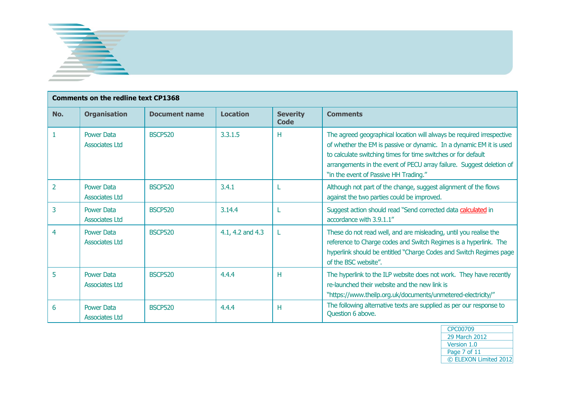

<u> 1989 - Johann Stein, marwolaethau a bh</u>

|                | <b>Comments on the redline text CP1368</b> |                      |                  |                         |                                                                                                                                                                                                                                                                                                                                |
|----------------|--------------------------------------------|----------------------|------------------|-------------------------|--------------------------------------------------------------------------------------------------------------------------------------------------------------------------------------------------------------------------------------------------------------------------------------------------------------------------------|
| No.            | <b>Organisation</b>                        | <b>Document name</b> | <b>Location</b>  | <b>Severity</b><br>Code | <b>Comments</b>                                                                                                                                                                                                                                                                                                                |
|                | <b>Power Data</b><br><b>Associates Ltd</b> | <b>BSCP520</b>       | 3.3.1.5          | н                       | The agreed geographical location will always be required irrespective<br>of whether the EM is passive or dynamic. In a dynamic EM it is used<br>to calculate switching times for time switches or for default<br>arrangements in the event of PECU array failure. Suggest deletion of<br>"in the event of Passive HH Trading." |
| $\overline{2}$ | <b>Power Data</b><br><b>Associates Ltd</b> | <b>BSCP520</b>       | 3.4.1            |                         | Although not part of the change, suggest alignment of the flows<br>against the two parties could be improved.                                                                                                                                                                                                                  |
| 3              | <b>Power Data</b><br>Associates Ltd        | <b>BSCP520</b>       | 3.14.4           |                         | Suggest action should read "Send corrected data calculated in<br>accordance with 3.9.1.1"                                                                                                                                                                                                                                      |
| 4              | <b>Power Data</b><br>Associates Ltd        | <b>BSCP520</b>       | 4.1, 4.2 and 4.3 |                         | These do not read well, and are misleading, until you realise the<br>reference to Charge codes and Switch Regimes is a hyperlink. The<br>hyperlink should be entitled "Charge Codes and Switch Regimes page<br>of the BSC website".                                                                                            |
| 5              | <b>Power Data</b><br><b>Associates Ltd</b> | <b>BSCP520</b>       | 4.4.4            | H                       | The hyperlink to the ILP website does not work. They have recently<br>re-launched their website and the new link is<br>"https://www.theilp.org.uk/documents/unmetered-electricity/"                                                                                                                                            |
| 6              | <b>Power Data</b><br><b>Associates Ltd</b> | <b>BSCP520</b>       | 4.4.4            | H                       | The following alternative texts are supplied as per our response to<br>Question 6 above.                                                                                                                                                                                                                                       |

| CPC00709              |
|-----------------------|
| 29 March 2012         |
| Version 1.0           |
| Page 7 of 11          |
| © ELEXON Limited 2012 |

h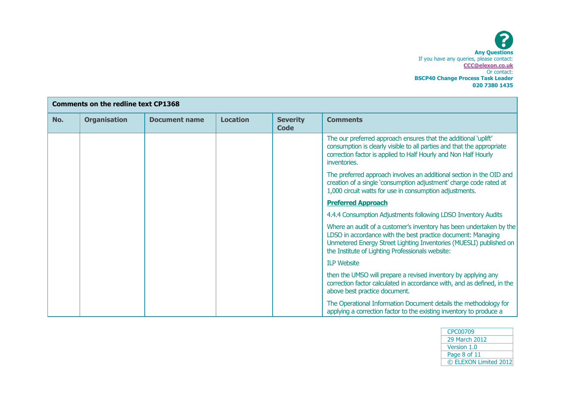| <b>Comments on the redline text CP1368</b> |                     |                      |                 |                         |                                                                                                                                                                                                                                                               |
|--------------------------------------------|---------------------|----------------------|-----------------|-------------------------|---------------------------------------------------------------------------------------------------------------------------------------------------------------------------------------------------------------------------------------------------------------|
| No.                                        | <b>Organisation</b> | <b>Document name</b> | <b>Location</b> | <b>Severity</b><br>Code | <b>Comments</b>                                                                                                                                                                                                                                               |
|                                            |                     |                      |                 |                         | The our preferred approach ensures that the additional 'uplift'<br>consumption is clearly visible to all parties and that the appropriate<br>correction factor is applied to Half Hourly and Non Half Hourly<br>inventories.                                  |
|                                            |                     |                      |                 |                         | The preferred approach involves an additional section in the OID and<br>creation of a single 'consumption adjustment' charge code rated at<br>1,000 circuit watts for use in consumption adjustments.                                                         |
|                                            |                     |                      |                 |                         | <b>Preferred Approach</b>                                                                                                                                                                                                                                     |
|                                            |                     |                      |                 |                         | 4.4.4 Consumption Adjustments following LDSO Inventory Audits                                                                                                                                                                                                 |
|                                            |                     |                      |                 |                         | Where an audit of a customer's inventory has been undertaken by the<br>LDSO in accordance with the best practice document: Managing<br>Unmetered Energy Street Lighting Inventories (MUESLI) published on<br>the Institute of Lighting Professionals website: |
|                                            |                     |                      |                 |                         | <b>ILP Website</b>                                                                                                                                                                                                                                            |
|                                            |                     |                      |                 |                         | then the UMSO will prepare a revised inventory by applying any<br>correction factor calculated in accordance with, and as defined, in the<br>above best practice document.                                                                                    |
|                                            |                     |                      |                 |                         | The Operational Information Document details the methodology for<br>applying a correction factor to the existing inventory to produce a                                                                                                                       |

| CPC00709              |
|-----------------------|
| 29 March 2012         |
| Version 1.0           |
| Page 8 of 11          |
| © ELEXON Limited 2012 |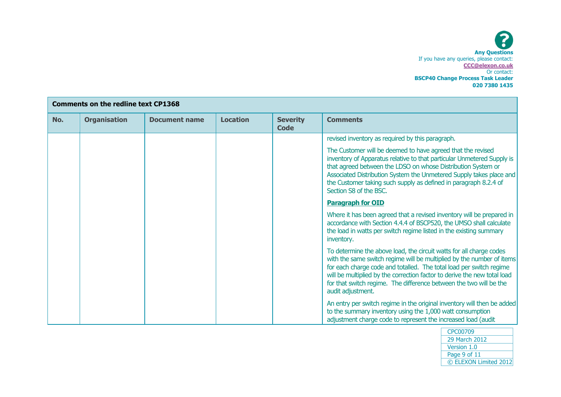| <b>Comments on the redline text CP1368</b> |                     |                      |                 |                         |                                                                                                                                                                                                                                                                                                                                                                                            |
|--------------------------------------------|---------------------|----------------------|-----------------|-------------------------|--------------------------------------------------------------------------------------------------------------------------------------------------------------------------------------------------------------------------------------------------------------------------------------------------------------------------------------------------------------------------------------------|
| No.                                        | <b>Organisation</b> | <b>Document name</b> | <b>Location</b> | <b>Severity</b><br>Code | <b>Comments</b>                                                                                                                                                                                                                                                                                                                                                                            |
|                                            |                     |                      |                 |                         | revised inventory as required by this paragraph.                                                                                                                                                                                                                                                                                                                                           |
|                                            |                     |                      |                 |                         | The Customer will be deemed to have agreed that the revised<br>inventory of Apparatus relative to that particular Unmetered Supply is<br>that agreed between the LDSO on whose Distribution System or<br>Associated Distribution System the Unmetered Supply takes place and<br>the Customer taking such supply as defined in paragraph 8.2.4 of<br>Section S8 of the BSC.                 |
|                                            |                     |                      |                 |                         | <b>Paragraph for OID</b>                                                                                                                                                                                                                                                                                                                                                                   |
|                                            |                     |                      |                 |                         | Where it has been agreed that a revised inventory will be prepared in<br>accordance with Section 4.4.4 of BSCP520, the UMSO shall calculate<br>the load in watts per switch regime listed in the existing summary<br>inventory.                                                                                                                                                            |
|                                            |                     |                      |                 |                         | To determine the above load, the circuit watts for all charge codes<br>with the same switch regime will be multiplied by the number of items<br>for each charge code and totalled. The total load per switch regime<br>will be multiplied by the correction factor to derive the new total load<br>for that switch regime. The difference between the two will be the<br>audit adjustment. |
|                                            |                     |                      |                 |                         | An entry per switch regime in the original inventory will then be added<br>to the summary inventory using the 1,000 watt consumption<br>adjustment charge code to represent the increased load (audit                                                                                                                                                                                      |

| CPC00709              |
|-----------------------|
| 29 March 2012         |
| Version 1.0           |
| Page 9 of 11          |
| © ELEXON Limited 2012 |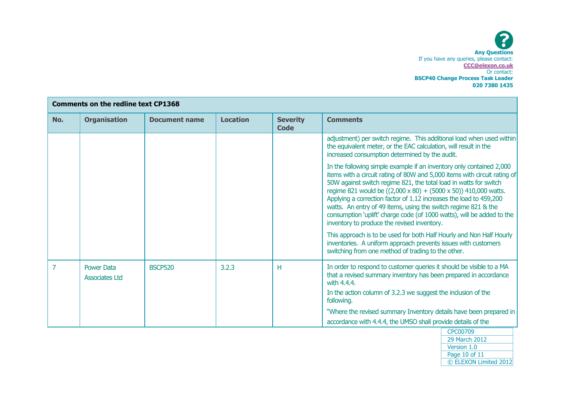| <b>Comments on the redline text CP1368</b> |                                            |                      |                 |                         |                                                                                                                                                                                                                                                                                                                                                                                                                                                                                                                                                            |
|--------------------------------------------|--------------------------------------------|----------------------|-----------------|-------------------------|------------------------------------------------------------------------------------------------------------------------------------------------------------------------------------------------------------------------------------------------------------------------------------------------------------------------------------------------------------------------------------------------------------------------------------------------------------------------------------------------------------------------------------------------------------|
| No.                                        | <b>Organisation</b>                        | <b>Document name</b> | <b>Location</b> | <b>Severity</b><br>Code | <b>Comments</b>                                                                                                                                                                                                                                                                                                                                                                                                                                                                                                                                            |
|                                            |                                            |                      |                 |                         | adjustment) per switch regime. This additional load when used within<br>the equivalent meter, or the EAC calculation, will result in the<br>increased consumption determined by the audit.                                                                                                                                                                                                                                                                                                                                                                 |
|                                            |                                            |                      |                 |                         | In the following simple example if an inventory only contained 2,000<br>items with a circuit rating of 80W and 5,000 items with circuit rating of<br>50W against switch regime 821, the total load in watts for switch<br>regime 821 would be ((2,000 x 80) + (5000 x 50)) 410,000 watts.<br>Applying a correction factor of 1.12 increases the load to 459,200<br>watts. An entry of 49 items, using the switch regime 821 & the<br>consumption 'uplift' charge code (of 1000 watts), will be added to the<br>inventory to produce the revised inventory. |
|                                            |                                            |                      |                 |                         | This approach is to be used for both Half Hourly and Non Half Hourly<br>inventories. A uniform approach prevents issues with customers<br>switching from one method of trading to the other.                                                                                                                                                                                                                                                                                                                                                               |
| 7                                          | <b>Power Data</b><br><b>Associates Ltd</b> | <b>BSCP520</b>       | 3.2.3           | Н                       | In order to respond to customer queries it should be visible to a MA<br>that a revised summary inventory has been prepared in accordance<br>with 4.4.4.<br>In the action column of 3.2.3 we suggest the inclusion of the<br>following.                                                                                                                                                                                                                                                                                                                     |
|                                            |                                            |                      |                 |                         | "Where the revised summary Inventory details have been prepared in                                                                                                                                                                                                                                                                                                                                                                                                                                                                                         |
|                                            |                                            |                      |                 |                         | accordance with 4.4.4, the UMSO shall provide details of the<br><b>CPC00709</b>                                                                                                                                                                                                                                                                                                                                                                                                                                                                            |

| CPC00709              |
|-----------------------|
| 29 March 2012         |
| Version 1.0           |
| Page 10 of 11         |
| © ELEXON Limited 2012 |